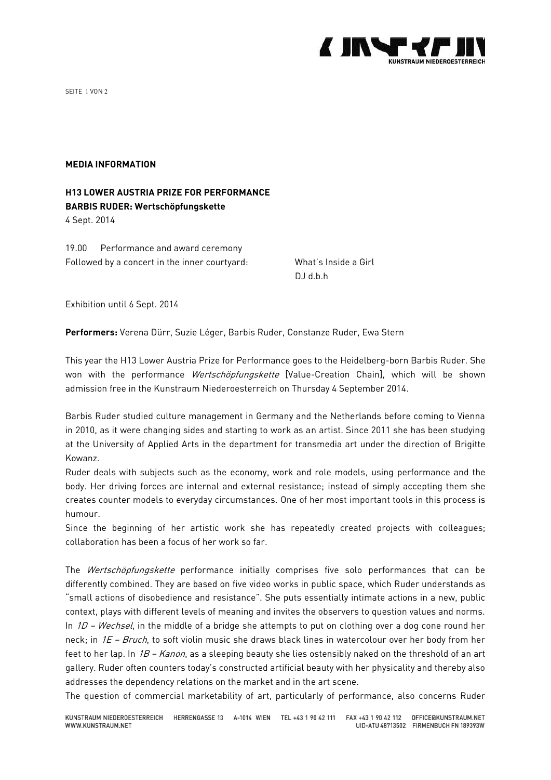

SEITE 1 VON 2

## **MEDIA INFORMATION**

## **H13 LOWER AUSTRIA PRIZE FOR PERFORMANCE BARBIS RUDER: Wertschöpfungskette**

4 Sept. 2014

19.00 Performance and award ceremony Followed by a concert in the inner courtyard: What's Inside a Girl

DJ d.b.h

Exhibition until 6 Sept. 2014

**Performers:** Verena Dürr, Suzie Léger, Barbis Ruder, Constanze Ruder, Ewa Stern

This year the H13 Lower Austria Prize for Performance goes to the Heidelberg-born Barbis Ruder. She won with the performance *Wertschöpfungskette* [Value-Creation Chain], which will be shown admission free in the Kunstraum Niederoesterreich on Thursday 4 September 2014.

Barbis Ruder studied culture management in Germany and the Netherlands before coming to Vienna in 2010, as it were changing sides and starting to work as an artist. Since 2011 she has been studying at the University of Applied Arts in the department for transmedia art under the direction of Brigitte Kowanz.

Ruder deals with subjects such as the economy, work and role models, using performance and the body. Her driving forces are internal and external resistance; instead of simply accepting them she creates counter models to everyday circumstances. One of her most important tools in this process is humour.

Since the beginning of her artistic work she has repeatedly created projects with colleagues; collaboration has been a focus of her work so far.

The Wertschöpfungskette performance initially comprises five solo performances that can be differently combined. They are based on five video works in public space, which Ruder understands as "small actions of disobedience and resistance". She puts essentially intimate actions in a new, public context, plays with different levels of meaning and invites the observers to question values and norms. In  $1D$  – Wechsel, in the middle of a bridge she attempts to put on clothing over a dog cone round her neck; in 1E - Bruch, to soft violin music she draws black lines in watercolour over her body from her feet to her lap. In 1B - Kanon, as a sleeping beauty she lies ostensibly naked on the threshold of an art gallery. Ruder often counters today's constructed artificial beauty with her physicality and thereby also addresses the dependency relations on the market and in the art scene.

The question of commercial marketability of art, particularly of performance, also concerns Ruder